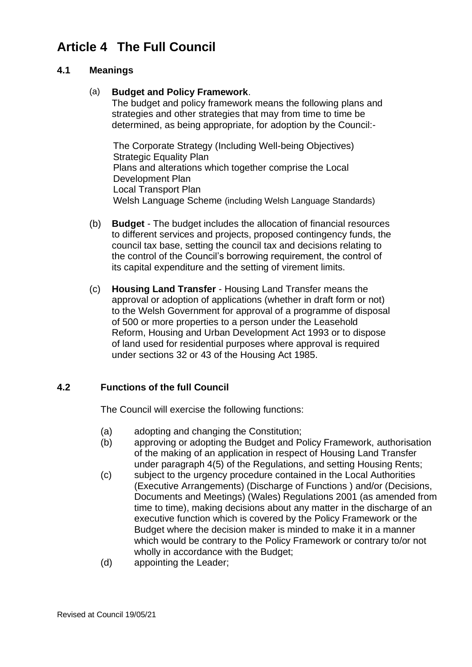# **Article 4 The Full Council**

### **4.1 Meanings**

#### (a) **Budget and Policy Framework**.

The budget and policy framework means the following plans and strategies and other strategies that may from time to time be determined, as being appropriate, for adoption by the Council:-

The Corporate Strategy (Including Well-being Objectives) Strategic Equality Plan Plans and alterations which together comprise the Local Development Plan Local Transport Plan Welsh Language Scheme (including Welsh Language Standards)

- (b) **Budget** The budget includes the allocation of financial resources to different services and projects, proposed contingency funds, the council tax base, setting the council tax and decisions relating to the control of the Council's borrowing requirement, the control of its capital expenditure and the setting of virement limits.
- (c) **Housing Land Transfer** Housing Land Transfer means the approval or adoption of applications (whether in draft form or not) to the Welsh Government for approval of a programme of disposal of 500 or more properties to a person under the Leasehold Reform, Housing and Urban Development Act 1993 or to dispose of land used for residential purposes where approval is required under sections 32 or 43 of the Housing Act 1985.

## **4.2 Functions of the full Council**

The Council will exercise the following functions:

- (a) adopting and changing the Constitution;
- (b) approving or adopting the Budget and Policy Framework, authorisation of the making of an application in respect of Housing Land Transfer under paragraph 4(5) of the Regulations, and setting Housing Rents;
- (c) subject to the urgency procedure contained in the Local Authorities (Executive Arrangements) (Discharge of Functions ) and/or (Decisions, Documents and Meetings) (Wales) Regulations 2001 (as amended from time to time), making decisions about any matter in the discharge of an executive function which is covered by the Policy Framework or the Budget where the decision maker is minded to make it in a manner which would be contrary to the Policy Framework or contrary to/or not wholly in accordance with the Budget;
- (d) appointing the Leader;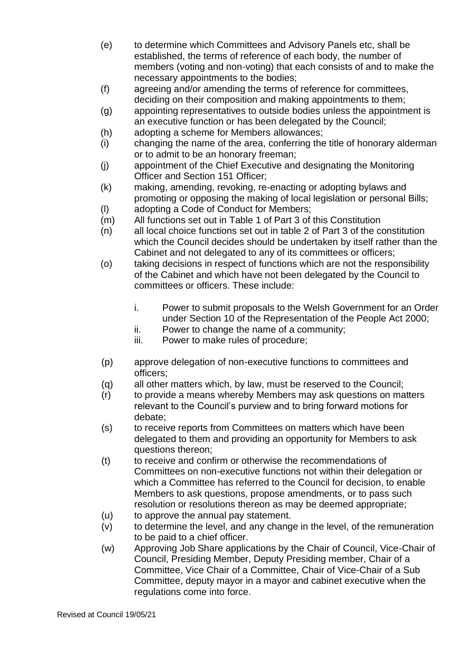- (e) to determine which Committees and Advisory Panels etc, shall be established, the terms of reference of each body, the number of members (voting and non-voting) that each consists of and to make the necessary appointments to the bodies;
- (f) agreeing and/or amending the terms of reference for committees, deciding on their composition and making appointments to them;
- (g) appointing representatives to outside bodies unless the appointment is an executive function or has been delegated by the Council;
- (h) adopting a scheme for Members allowances;
- (i) changing the name of the area, conferring the title of honorary alderman or to admit to be an honorary freeman;
- (j) appointment of the Chief Executive and designating the Monitoring Officer and Section 151 Officer;
- (k) making, amending, revoking, re-enacting or adopting bylaws and promoting or opposing the making of local legislation or personal Bills;
- (l) adopting a Code of Conduct for Members;
- (m) All functions set out in Table 1 of Part 3 of this Constitution
- $(n)$  all local choice functions set out in table 2 of Part 3 of the constitution which the Council decides should be undertaken by itself rather than the Cabinet and not delegated to any of its committees or officers;
- (o) taking decisions in respect of functions which are not the responsibility of the Cabinet and which have not been delegated by the Council to committees or officers. These include:
	- i. Power to submit proposals to the Welsh Government for an Order under Section 10 of the Representation of the People Act 2000;
	- ii. Power to change the name of a community;
	- iii. Power to make rules of procedure;
- (p) approve delegation of non-executive functions to committees and officers;
- (q) all other matters which, by law, must be reserved to the Council;
- (r) to provide a means whereby Members may ask questions on matters relevant to the Council's purview and to bring forward motions for debate;
- (s) to receive reports from Committees on matters which have been delegated to them and providing an opportunity for Members to ask questions thereon;
- (t) to receive and confirm or otherwise the recommendations of Committees on non-executive functions not within their delegation or which a Committee has referred to the Council for decision, to enable Members to ask questions, propose amendments, or to pass such resolution or resolutions thereon as may be deemed appropriate;
- (u) to approve the annual pay statement.
- (v) to determine the level, and any change in the level, of the remuneration to be paid to a chief officer.
- (w) Approving Job Share applications by the Chair of Council, Vice-Chair of Council, Presiding Member, Deputy Presiding member, Chair of a Committee, Vice Chair of a Committee, Chair of Vice-Chair of a Sub Committee, deputy mayor in a mayor and cabinet executive when the regulations come into force.